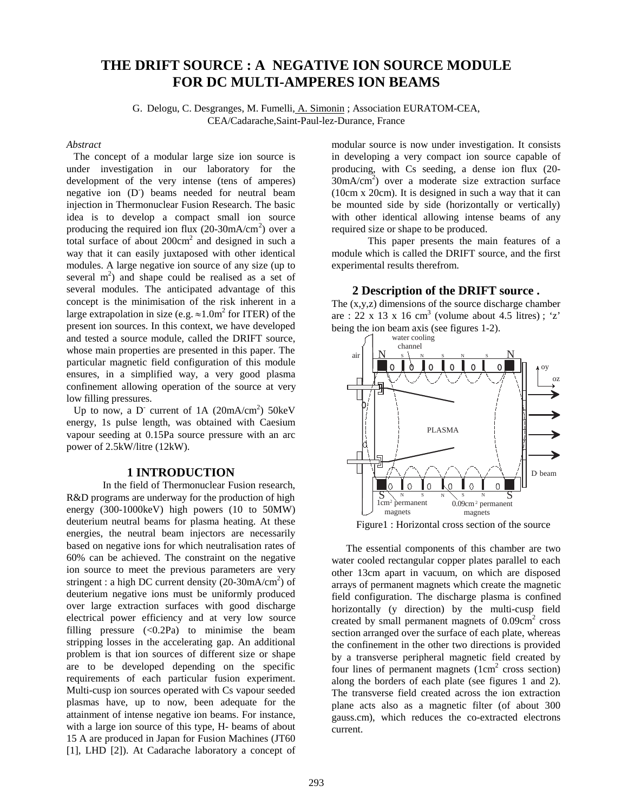# **THE DRIFT SOURCE : A NEGATIVE ION SOURCE MODULE FOR DC MULTI-AMPERES ION BEAMS**

G. Delogu, C. Desgranges, M. Fumelli, A. Simonin ; Association EURATOM-CEA, CEA/Cadarache,Saint-Paul-lez-Durance, France

#### *Abstract*

The concept of a modular large size ion source is under investigation in our laboratory for the development of the very intense (tens of amperes) negative ion (D<sup>-</sup>) beams needed for neutral beam injection in Thermonuclear Fusion Research. The basic idea is to develop a compact small ion source producing the required ion flux  $(20\text{-}30\text{mA/cm}^2)$  over a total surface of about  $200 \text{cm}^2$  and designed in such a way that it can easily juxtaposed with other identical modules. A large negative ion source of any size (up to several  $m<sup>2</sup>$ ) and shape could be realised as a set of several modules. The anticipated advantage of this concept is the minimisation of the risk inherent in a large extrapolation in size (e.g.  $\approx 1.0$ m<sup>2</sup> for ITER) of the present ion sources. In this context, we have developed and tested a source module, called the DRIFT source, whose main properties are presented in this paper. The particular magnetic field configuration of this module ensures, in a simplified way, a very good plasma confinement allowing operation of the source at very low filling pressures.

Up to now, a D<sup>-</sup> current of 1A  $(20mA/cm^2)$  50keV energy, 1s pulse length, was obtained with Caesium vapour seeding at 0.15Pa source pressure with an arc power of 2.5kW/litre (12kW).

## **1 INTRODUCTION**

In the field of Thermonuclear Fusion research, R&D programs are underway for the production of high energy (300-1000keV) high powers (10 to 50MW) deuterium neutral beams for plasma heating. At these energies, the neutral beam injectors are necessarily based on negative ions for which neutralisation rates of 60% can be achieved. The constraint on the negative ion source to meet the previous parameters are very stringent : a high DC current density  $(20-30mA/cm^2)$  of deuterium negative ions must be uniformly produced over large extraction surfaces with good discharge electrical power efficiency and at very low source filling pressure  $( $0.2Pa$ )$  to minimise the beam stripping losses in the accelerating gap. An additional problem is that ion sources of different size or shape are to be developed depending on the specific requirements of each particular fusion experiment. Multi-cusp ion sources operated with Cs vapour seeded plasmas have, up to now, been adequate for the attainment of intense negative ion beams. For instance, with a large ion source of this type, H- beams of about 15 A are produced in Japan for Fusion Machines (JT60 [1], LHD [2]). At Cadarache laboratory a concept of

modular source is now under investigation. It consists in developing a very compact ion source capable of producing, with Cs seeding, a dense ion flux (20- 30mA/cm2 ) over a moderate size extraction surface (10cm x 20cm). It is designed in such a way that it can be mounted side by side (horizontally or vertically) with other identical allowing intense beams of any required size or shape to be produced.

This paper presents the main features of a module which is called the DRIFT source, and the first experimental results therefrom.

**2 Description of the DRIFT source .** The (x,y,z) dimensions of the source discharge chamber are : 22 x 13 x 16 cm<sup>3</sup> (volume about 4.5 litres); 'z' being the ion beam axis (see figures 1-2).



Figure1 : Horizontal cross section of the source

The essential components of this chamber are two water cooled rectangular copper plates parallel to each other 13cm apart in vacuum, on which are disposed arrays of permanent magnets which create the magnetic field configuration. The discharge plasma is confined horizontally (y direction) by the multi-cusp field created by small permanent magnets of  $0.09 \text{cm}^2$  cross section arranged over the surface of each plate, whereas the confinement in the other two directions is provided by a transverse peripheral magnetic field created by four lines of permanent magnets  $(1cm<sup>2</sup>$  cross section) along the borders of each plate (see figures 1 and 2). The transverse field created across the ion extraction plane acts also as a magnetic filter (of about 300 gauss.cm), which reduces the co-extracted electrons current.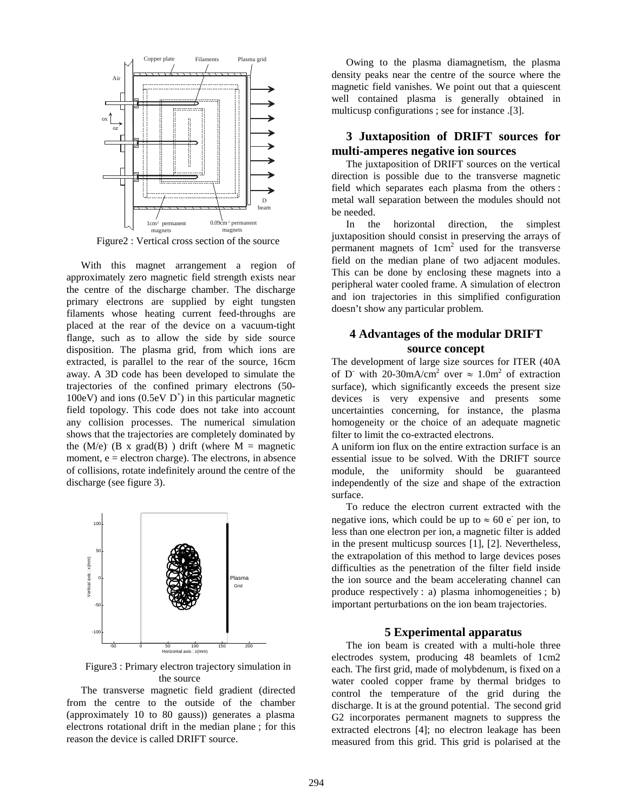

Figure2 : Vertical cross section of the source

With this magnet arrangement a region of approximately zero magnetic field strength exists near the centre of the discharge chamber. The discharge primary electrons are supplied by eight tungsten filaments whose heating current feed-throughs are placed at the rear of the device on a vacuum-tight flange, such as to allow the side by side source disposition. The plasma grid, from which ions are extracted, is parallel to the rear of the source, 16cm away. A 3D code has been developed to simulate the trajectories of the confined primary electrons (50- 100eV) and ions (0.5eV  $D^+$ ) in this particular magnetic field topology. This code does not take into account any collision processes. The numerical simulation shows that the trajectories are completely dominated by the  $(M/e)$  (B x grad(B)) drift (where M = magnetic moment,  $e =$  electron charge). The electrons, in absence of collisions, rotate indefinitely around the centre of the discharge (see figure 3).



Figure3 : Primary electron trajectory simulation in the source

The transverse magnetic field gradient (directed from the centre to the outside of the chamber (approximately 10 to 80 gauss)) generates a plasma electrons rotational drift in the median plane ; for this reason the device is called DRIFT source.

Owing to the plasma diamagnetism, the plasma density peaks near the centre of the source where the magnetic field vanishes. We point out that a quiescent well contained plasma is generally obtained in multicusp configurations ; see for instance .[3].

## **3 Juxtaposition of DRIFT sources for multi-amperes negative ion sources**

The juxtaposition of DRIFT sources on the vertical direction is possible due to the transverse magnetic field which separates each plasma from the others : metal wall separation between the modules should not be needed.

In the horizontal direction, the simplest juxtaposition should consist in preserving the arrays of permanent magnets of  $1 \text{cm}^2$  used for the transverse field on the median plane of two adjacent modules. This can be done by enclosing these magnets into a peripheral water cooled frame. A simulation of electron and ion trajectories in this simplified configuration doesn't show any particular problem.

# **4 Advantages of the modular DRIFT source concept**

The development of large size sources for ITER (40A of D<sup>-</sup> with 20-30mA/cm<sup>2</sup> over  $\approx 1.0$ m<sup>2</sup> of extraction surface), which significantly exceeds the present size devices is very expensive and presents some uncertainties concerning, for instance, the plasma homogeneity or the choice of an adequate magnetic filter to limit the co-extracted electrons.

A uniform ion flux on the entire extraction surface is an essential issue to be solved. With the DRIFT source module, the uniformity should be guaranteed independently of the size and shape of the extraction surface.

To reduce the electron current extracted with the negative ions, which could be up to  $\approx 60$  e<sup>-</sup> per ion, to less than one electron per ion, a magnetic filter is added in the present multicusp sources [1], [2]. Nevertheless, the extrapolation of this method to large devices poses difficulties as the penetration of the filter field inside the ion source and the beam accelerating channel can produce respectively : a) plasma inhomogeneities ; b) important perturbations on the ion beam trajectories.

#### **5 Experimental apparatus**

The ion beam is created with a multi-hole three electrodes system, producing 48 beamlets of 1cm2 each. The first grid, made of molybdenum, is fixed on a water cooled copper frame by thermal bridges to control the temperature of the grid during the discharge. It is at the ground potential. The second grid G2 incorporates permanent magnets to suppress the extracted electrons [4]; no electron leakage has been measured from this grid. This grid is polarised at the